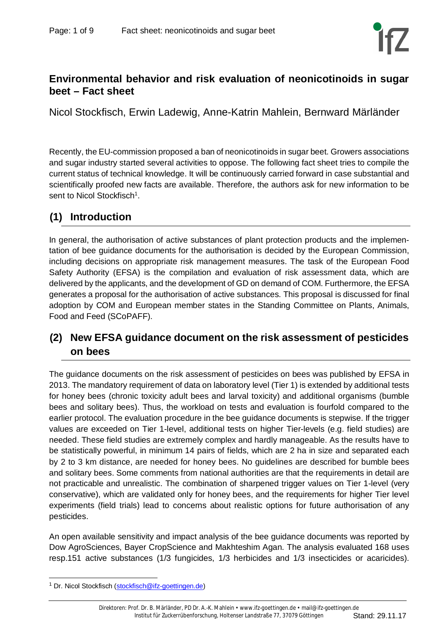### **Environmental behavior and risk evaluation of neonicotinoids in sugar beet – Fact sheet**

Nicol Stockfisch, Erwin Ladewig, Anne-Katrin Mahlein, Bernward Märländer

Recently, the EU-commission proposed a ban of neonicotinoids in sugar beet. Growers associations and sugar industry started several activities to oppose. The following fact sheet tries to compile the current status of technical knowledge. It will be continuously carried forward in case substantial and scientifically proofed new facts are available. Therefore, the authors ask for new information to be sent to Nicol Stockfisch<sup>1</sup>.

# **(1) Introduction**

In general, the authorisation of active substances of plant protection products and the implementation of bee guidance documents for the authorisation is decided by the European Commission, including decisions on appropriate risk management measures. The task of the European Food Safety Authority (EFSA) is the compilation and evaluation of risk assessment data, which are delivered by the applicants, and the development of GD on demand of COM. Furthermore, the EFSA generates a proposal for the authorisation of active substances. This proposal is discussed for final adoption by COM and European member states in the Standing Committee on Plants, Animals, Food and Feed (SCoPAFF).

# **(2) New EFSA guidance document on the risk assessment of pesticides on bees**

The guidance documents on the risk assessment of pesticides on bees was published by EFSA in 2013. The mandatory requirement of data on laboratory level (Tier 1) is extended by additional tests for honey bees (chronic toxicity adult bees and larval toxicity) and additional organisms (bumble bees and solitary bees). Thus, the workload on tests and evaluation is fourfold compared to the earlier protocol. The evaluation procedure in the bee guidance documents is stepwise. If the trigger values are exceeded on Tier 1-level, additional tests on higher Tier-levels (e.g. field studies) are needed. These field studies are extremely complex and hardly manageable. As the results have to be statistically powerful, in minimum 14 pairs of fields, which are 2 ha in size and separated each by 2 to 3 km distance, are needed for honey bees. No guidelines are described for bumble bees and solitary bees. Some comments from national authorities are that the requirements in detail are not practicable and unrealistic. The combination of sharpened trigger values on Tier 1-level (very conservative), which are validated only for honey bees, and the requirements for higher Tier level experiments (field trials) lead to concerns about realistic options for future authorisation of any pesticides.

An open available sensitivity and impact analysis of the bee guidance documents was reported by Dow AgroSciences, Bayer CropScience and Makhteshim Agan. The analysis evaluated 168 uses resp.151 active substances (1/3 fungicides, 1/3 herbicides and 1/3 insecticides or acaricides).

<sup>&</sup>lt;sup>1</sup> Dr. Nicol Stockfisch (stockfisch@ifz-goettingen.de)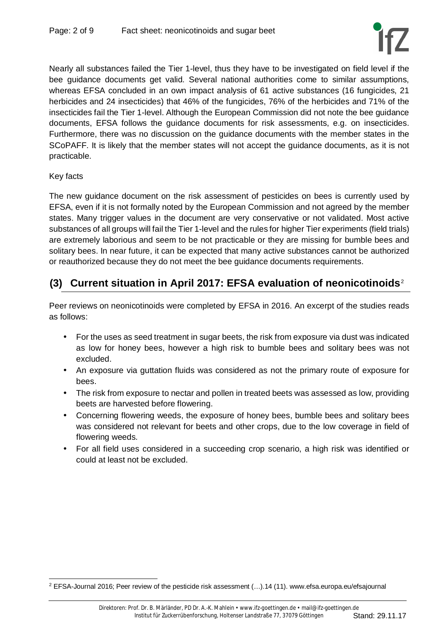

Nearly all substances failed the Tier 1-level, thus they have to be investigated on field level if the bee guidance documents get valid. Several national authorities come to similar assumptions, whereas EFSA concluded in an own impact analysis of 61 active substances (16 fungicides, 21 herbicides and 24 insecticides) that 46% of the fungicides, 76% of the herbicides and 71% of the insecticides fail the Tier 1-level. Although the European Commission did not note the bee guidance documents, EFSA follows the guidance documents for risk assessments, e.g. on insecticides. Furthermore, there was no discussion on the guidance documents with the member states in the SCoPAFF. It is likely that the member states will not accept the guidance documents, as it is not practicable.

### Key facts

The new guidance document on the risk assessment of pesticides on bees is currently used by EFSA, even if it is not formally noted by the European Commission and not agreed by the member states. Many trigger values in the document are very conservative or not validated. Most active substances of all groups will fail the Tier 1-level and the rules for higher Tier experiments (field trials) are extremely laborious and seem to be not practicable or they are missing for bumble bees and solitary bees. In near future, it can be expected that many active substances cannot be authorized or reauthorized because they do not meet the bee guidance documents requirements.

## **(3) Current situation in April 2017: EFSA evaluation of neonicotinoids**<sup>2</sup>

Peer reviews on neonicotinoids were completed by EFSA in 2016. An excerpt of the studies reads as follows:

- For the uses as seed treatment in sugar beets, the risk from exposure via dust was indicated as low for honey bees, however a high risk to bumble bees and solitary bees was not excluded.
- An exposure via guttation fluids was considered as not the primary route of exposure for bees.
- The risk from exposure to nectar and pollen in treated beets was assessed as low, providing beets are harvested before flowering.
- Concerning flowering weeds, the exposure of honey bees, bumble bees and solitary bees was considered not relevant for beets and other crops, due to the low coverage in field of flowering weeds.
- For all field uses considered in a succeeding crop scenario, a high risk was identified or could at least not be excluded.

<sup>&</sup>lt;sup>2</sup> EFSA-Journal 2016; Peer review of the pesticide risk assessment (...).14 (11). www.efsa.europa.eu/efsajournal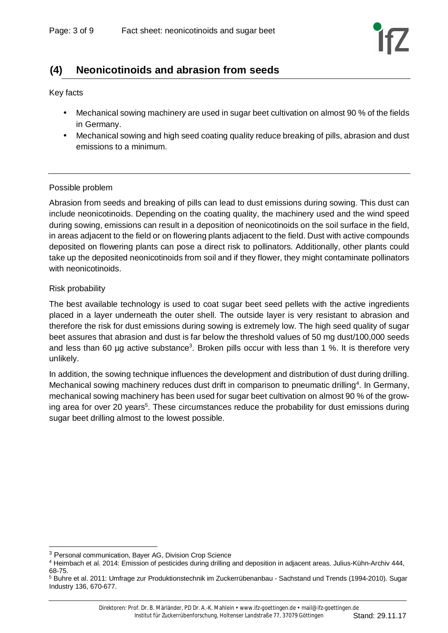## **(4) Neonicotinoids and abrasion from seeds**

Key facts

- Mechanical sowing machinery are used in sugar beet cultivation on almost 90 % of the fields in Germany.
- Mechanical sowing and high seed coating quality reduce breaking of pills, abrasion and dust emissions to a minimum.

### Possible problem

Abrasion from seeds and breaking of pills can lead to dust emissions during sowing. This dust can include neonicotinoids. Depending on the coating quality, the machinery used and the wind speed during sowing, emissions can result in a deposition of neonicotinoids on the soil surface in the field, in areas adjacent to the field or on flowering plants adjacent to the field. Dust with active compounds deposited on flowering plants can pose a direct risk to pollinators. Additionally, other plants could take up the deposited neonicotinoids from soil and if they flower, they might contaminate pollinators with neonicotinoids.

#### Risk probability

The best available technology is used to coat sugar beet seed pellets with the active ingredients placed in a layer underneath the outer shell. The outside layer is very resistant to abrasion and therefore the risk for dust emissions during sowing is extremely low. The high seed quality of sugar beet assures that abrasion and dust is far below the threshold values of 50 mg dust/100,000 seeds and less than 60 µg active substance<sup>3</sup>. Broken pills occur with less than 1 %. It is therefore very unlikely.

In addition, the sowing technique influences the development and distribution of dust during drilling. Mechanical sowing machinery reduces dust drift in comparison to pneumatic drilling<sup>4</sup>. In Germany, mechanical sowing machinery has been used for sugar beet cultivation on almost 90 % of the growing area for over 20 years<sup>5</sup>. These circumstances reduce the probability for dust emissions during sugar beet drilling almost to the lowest possible.

<sup>&</sup>lt;sup>3</sup> Personal communication, Bayer AG, Division Crop Science

<sup>4</sup> Heimbach et al. 2014: Emission of pesticides during drilling and deposition in adjacent areas. Julius-Kühn-Archiv 444, 68-75.

<sup>&</sup>lt;sup>5</sup> Buhre et al. 2011: Umfrage zur Produktionstechnik im Zuckerrübenanbau - Sachstand und Trends (1994-2010). Sugar Industry 136, 670-677.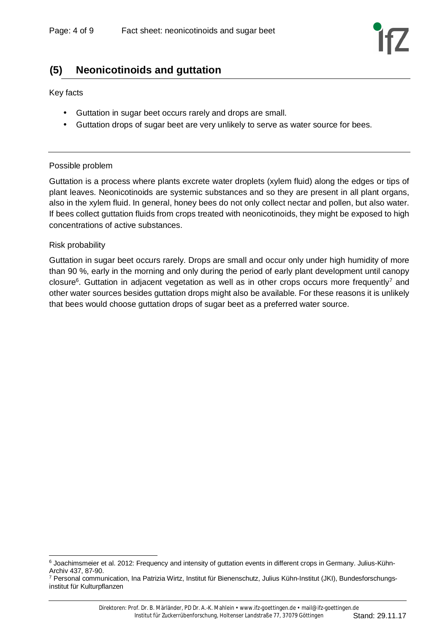### **(5) Neonicotinoids and guttation**

Key facts

- Guttation in sugar beet occurs rarely and drops are small.
- Guttation drops of sugar beet are very unlikely to serve as water source for bees.

#### Possible problem

Guttation is a process where plants excrete water droplets (xylem fluid) along the edges or tips of plant leaves. Neonicotinoids are systemic substances and so they are present in all plant organs, also in the xylem fluid. In general, honey bees do not only collect nectar and pollen, but also water. If bees collect guttation fluids from crops treated with neonicotinoids, they might be exposed to high concentrations of active substances.

#### Risk probability

Guttation in sugar beet occurs rarely. Drops are small and occur only under high humidity of more than 90 %, early in the morning and only during the period of early plant development until canopy closure<sup>6</sup>. Guttation in adjacent vegetation as well as in other crops occurs more frequently<sup>7</sup> and other water sources besides guttation drops might also be available. For these reasons it is unlikely that bees would choose guttation drops of sugar beet as a preferred water source.

<sup>6</sup> Joachimsmeier et al. 2012: Frequency and intensity of guttation events in different crops in Germany. Julius-Kühn-Archiv 437, 87-90.

<sup>&</sup>lt;sup>7</sup> Personal communication, Ina Patrizia Wirtz, Institut für Bienenschutz, Julius Kühn-Institut (JKI), Bundesforschungsinstitut für Kulturpflanzen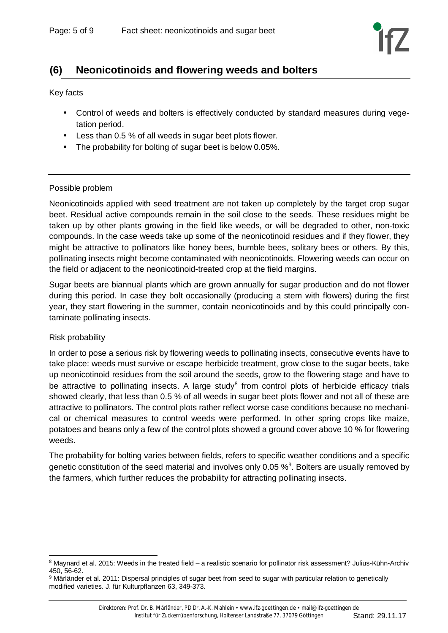### **(6) Neonicotinoids and flowering weeds and bolters**

Key facts

- Control of weeds and bolters is effectively conducted by standard measures during vegetation period.
- Less than 0.5 % of all weeds in sugar beet plots flower.
- The probability for bolting of sugar beet is below 0.05%.

#### Possible problem

Neonicotinoids applied with seed treatment are not taken up completely by the target crop sugar beet. Residual active compounds remain in the soil close to the seeds. These residues might be taken up by other plants growing in the field like weeds, or will be degraded to other, non-toxic compounds. In the case weeds take up some of the neonicotinoid residues and if they flower, they might be attractive to pollinators like honey bees, bumble bees, solitary bees or others. By this, pollinating insects might become contaminated with neonicotinoids. Flowering weeds can occur on the field or adjacent to the neonicotinoid-treated crop at the field margins.

Sugar beets are biannual plants which are grown annually for sugar production and do not flower during this period. In case they bolt occasionally (producing a stem with flowers) during the first year, they start flowering in the summer, contain neonicotinoids and by this could principally contaminate pollinating insects.

#### Risk probability

In order to pose a serious risk by flowering weeds to pollinating insects, consecutive events have to take place: weeds must survive or escape herbicide treatment, grow close to the sugar beets, take up neonicotinoid residues from the soil around the seeds, grow to the flowering stage and have to be attractive to pollinating insects. A large study<sup>8</sup> from control plots of herbicide efficacy trials showed clearly, that less than 0.5 % of all weeds in sugar beet plots flower and not all of these are attractive to pollinators. The control plots rather reflect worse case conditions because no mechanical or chemical measures to control weeds were performed. In other spring crops like maize, potatoes and beans only a few of the control plots showed a ground cover above 10 % for flowering weeds.

The probability for bolting varies between fields, refers to specific weather conditions and a specific genetic constitution of the seed material and involves only 0.05  $\%$ <sup>9</sup>. Bolters are usually removed by the farmers, which further reduces the probability for attracting pollinating insects.

 $^8$  Maynard et al. 2015: Weeds in the treated field – a realistic scenario for pollinator risk assessment? Julius-Kühn-Archiv 450, 56-62.

<sup>&</sup>lt;sup>9</sup> Märländer et al. 2011: Dispersal principles of sugar beet from seed to sugar with particular relation to genetically modified varieties. J. für Kulturpflanzen 63, 349-373.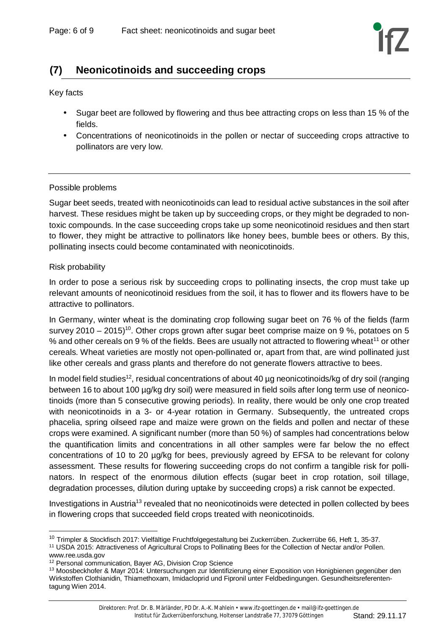# **(7) Neonicotinoids and succeeding crops**

Key facts

- Sugar beet are followed by flowering and thus bee attracting crops on less than 15 % of the fields.
- Concentrations of neonicotinoids in the pollen or nectar of succeeding crops attractive to pollinators are very low.

#### Possible problems

Sugar beet seeds, treated with neonicotinoids can lead to residual active substances in the soil after harvest. These residues might be taken up by succeeding crops, or they might be degraded to nontoxic compounds. In the case succeeding crops take up some neonicotinoid residues and then start to flower, they might be attractive to pollinators like honey bees, bumble bees or others. By this, pollinating insects could become contaminated with neonicotinoids.

#### Risk probability

In order to pose a serious risk by succeeding crops to pollinating insects, the crop must take up relevant amounts of neonicotinoid residues from the soil, it has to flower and its flowers have to be attractive to pollinators.

In Germany, winter wheat is the dominating crop following sugar beet on 76 % of the fields (farm survey 2010 – 2015)<sup>10</sup>. Other crops grown after sugar beet comprise maize on 9 %, potatoes on 5 % and other cereals on 9 % of the fields. Bees are usually not attracted to flowering wheat<sup>11</sup> or other cereals. Wheat varieties are mostly not open-pollinated or, apart from that, are wind pollinated just like other cereals and grass plants and therefore do not generate flowers attractive to bees.

In model field studies<sup>12</sup>, residual concentrations of about 40 µg neonicotinoids/kg of dry soil (ranging between 16 to about 100 µg/kg dry soil) were measured in field soils after long term use of neonicotinoids (more than 5 consecutive growing periods). In reality, there would be only one crop treated with neonicotinoids in a 3- or 4-year rotation in Germany. Subsequently, the untreated crops phacelia, spring oilseed rape and maize were grown on the fields and pollen and nectar of these crops were examined. A significant number (more than 50 %) of samples had concentrations below the quantification limits and concentrations in all other samples were far below the no effect concentrations of 10 to 20 µg/kg for bees, previously agreed by EFSA to be relevant for colony assessment. These results for flowering succeeding crops do not confirm a tangible risk for pollinators. In respect of the enormous dilution effects (sugar beet in crop rotation, soil tillage, degradation processes, dilution during uptake by succeeding crops) a risk cannot be expected.

Investigations in Austria<sup>13</sup> revealed that no neonicotinoids were detected in pollen collected by bees in flowering crops that succeeded field crops treated with neonicotinoids.

<sup>&</sup>lt;sup>10</sup> Trimpler & Stockfisch 2017: Vielfältige Fruchtfolgegestaltung bei Zuckerrüben. Zuckerrübe 66, Heft 1, 35-37.

<sup>11</sup> USDA 2015: Attractiveness of Agricultural Crops to Pollinating Bees for the Collection of Nectar and/or Pollen. www.ree.usda.gov

<sup>&</sup>lt;sup>12</sup> Personal communication, Bayer AG, Division Crop Science

<sup>&</sup>lt;sup>13</sup> Moosbeckhofer & Mayr 2014: Untersuchungen zur Identifizierung einer Exposition von Honigbienen gegenüber den Wirkstoffen Clothianidin, Thiamethoxam, Imidacloprid und Fipronil unter Feldbedingungen. Gesundheitsreferententagung Wien 2014.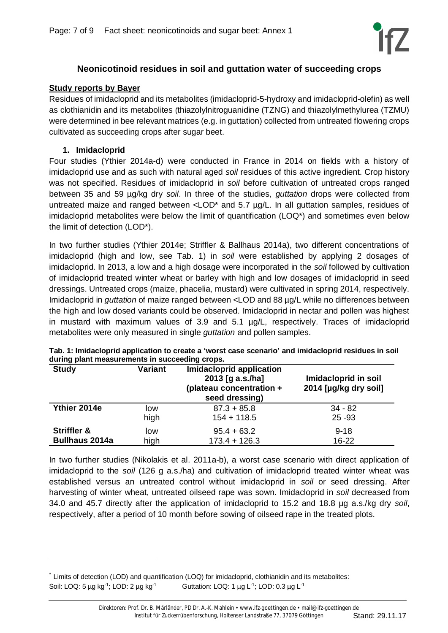

### **Neonicotinoid residues in soil and guttation water of succeeding crops**

### **Study reports by Bayer**

Residues of imidacloprid and its metabolites (imidacloprid-5-hydroxy and imidacloprid-olefin) as well as clothianidin and its metabolites (thiazolylnitroguanidine (TZNG) and thiazolylmethylurea (TZMU) were determined in bee relevant matrices (e.g. in guttation) collected from untreated flowering crops cultivated as succeeding crops after sugar beet.

#### **1. Imidacloprid**

Four studies (Ythier 2014a-d) were conducted in France in 2014 on fields with a history of imidacloprid use and as such with natural aged *soil* residues of this active ingredient. Crop history was not specified. Residues of imidacloprid in *soil* before cultivation of untreated crops ranged between 35 and 59 µg/kg dry *soil*. In three of the studies, *guttation* drops were collected from untreated maize and ranged between  $\langle$ LOD<sup>\*</sup> and 5.7  $\mu q/L$ . In all guttation samples, residues of imidacloprid metabolites were below the limit of quantification (LOQ\*) and sometimes even below the limit of detection (LOD\*).

In two further studies (Ythier 2014e; Striffler & Ballhaus 2014a), two different concentrations of imidacloprid (high and low, see Tab. 1) in *soil* were established by applying 2 dosages of imidacloprid. In 2013, a low and a high dosage were incorporated in the *soil* followed by cultivation of imidacloprid treated winter wheat or barley with high and low dosages of imidacloprid in seed dressings. Untreated crops (maize, phacelia, mustard) were cultivated in spring 2014, respectively. Imidacloprid in *guttation* of maize ranged between <LOD and 88 µg/L while no differences between the high and low dosed variants could be observed. Imidacloprid in nectar and pollen was highest in mustard with maximum values of 3.9 and 5.1 µg/L, respectively. Traces of imidacloprid metabolites were only measured in single *guttation* and pollen samples.

| . .<br><b>Study</b>    | <b>Variant</b> | Imidacloprid application<br>2013 [g a.s./ha]<br>(plateau concentration +<br>seed dressing) | Imidacloprid in soil<br>2014 [µg/kg dry soil] |
|------------------------|----------------|--------------------------------------------------------------------------------------------|-----------------------------------------------|
| Ythier 2014e           | low            | $87.3 + 85.8$                                                                              | $34 - 82$                                     |
|                        | high           | $154 + 118.5$                                                                              | $25 - 93$                                     |
| <b>Striffler &amp;</b> | low            | $95.4 + 63.2$                                                                              | $9 - 18$                                      |
| <b>Bullhaus 2014a</b>  | high           | $173.4 + 126.3$                                                                            | $16 - 22$                                     |

**Tab. 1: Imidacloprid application to create a 'worst case scenario' and imidacloprid residues in soil during plant measurements in succeeding crops.**

In two further studies (Nikolakis et al. 2011a-b), a worst case scenario with direct application of imidacloprid to the *soil* (126 g a.s./ha) and cultivation of imidacloprid treated winter wheat was established versus an untreated control without imidacloprid in *soil* or seed dressing. After harvesting of winter wheat, untreated oilseed rape was sown. Imidacloprid in *soil* decreased from 34.0 and 45.7 directly after the application of imidacloprid to 15.2 and 18.8 µg a.s./kg dry *soil*, respectively, after a period of 10 month before sowing of oilseed rape in the treated plots.

<sup>\*</sup> Limits of detection (LOD) and quantification (LOQ) for imidacloprid, clothianidin and its metabolites: Soil: LOQ: 5 µg kg<sup>-1</sup>; LOD: 2 µg kg<sup>-1</sup> Guttation: LOQ: 1 µg L<sup>-1</sup>; LOD: 0.3 µg L<sup>-1</sup>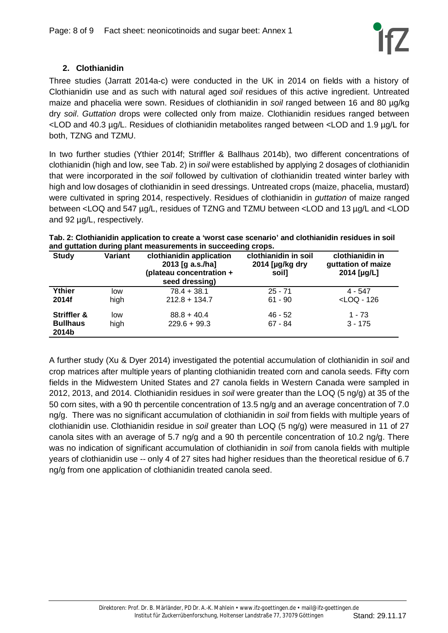### **2. Clothianidin**

Three studies (Jarratt 2014a-c) were conducted in the UK in 2014 on fields with a history of Clothianidin use and as such with natural aged *soil* residues of this active ingredient. Untreated maize and phacelia were sown. Residues of clothianidin in *soil* ranged between 16 and 80 µg/kg dry *soil*. *Guttation* drops were collected only from maize. Clothianidin residues ranged between <LOD and 40.3 µg/L. Residues of clothianidin metabolites ranged between <LOD and 1.9 µg/L for both, TZNG and TZMU.

In two further studies (Ythier 2014f; Striffler & Ballhaus 2014b), two different concentrations of clothianidin (high and low, see Tab. 2) in *soil* were established by applying 2 dosages of clothianidin that were incorporated in the *soil* followed by cultivation of clothianidin treated winter barley with high and low dosages of clothianidin in seed dressings. Untreated crops (maize, phacelia, mustard) were cultivated in spring 2014, respectively. Residues of clothianidin in *guttation* of maize ranged between <LOQ and 547 µg/L, residues of TZNG and TZMU between <LOD and 13 µg/L and <LOD and 92 µg/L, respectively.

| Tab. 2: Clothianidin application to create a 'worst case scenario' and clothianidin residues in soil |  |
|------------------------------------------------------------------------------------------------------|--|
| and guttation during plant measurements in succeeding crops.                                         |  |

| <b>Study</b>             | <b>Variant</b> | clothianidin application<br>2013 [g a.s./ha]<br>(plateau concentration +<br>seed dressing) | clothianidin in soil<br>2014 [ $\mu$ g/kg dry<br>soil] | clothianidin in<br>guttation of maize<br>2014 [µg/L] |
|--------------------------|----------------|--------------------------------------------------------------------------------------------|--------------------------------------------------------|------------------------------------------------------|
| Ythier                   | low            | $78.4 + 38.1$                                                                              | $25 - 71$                                              | $4 - 547$                                            |
| 2014f                    | high           | $212.8 + 134.7$                                                                            | $61 - 90$                                              | $<$ LOQ - 126                                        |
| <b>Striffler &amp;</b>   | low            | $88.8 + 40.4$                                                                              | $46 - 52$                                              | 1 - 73                                               |
| <b>Bullhaus</b><br>2014b | high           | $229.6 + 99.3$                                                                             | $67 - 84$                                              | $3 - 175$                                            |

A further study (Xu & Dyer 2014) investigated the potential accumulation of clothianidin in *soil* and crop matrices after multiple years of planting clothianidin treated corn and canola seeds. Fifty corn fields in the Midwestern United States and 27 canola fields in Western Canada were sampled in 2012, 2013, and 2014. Clothianidin residues in *soil* were greater than the LOQ (5 ng/g) at 35 of the 50 corn sites, with a 90 th percentile concentration of 13.5 ng/g and an average concentration of 7.0 ng/g. There was no significant accumulation of clothianidin in *soil* from fields with multiple years of clothianidin use. Clothianidin residue in *soil* greater than LOQ (5 ng/g) were measured in 11 of 27 canola sites with an average of 5.7 ng/g and a 90 th percentile concentration of 10.2 ng/g. There was no indication of significant accumulation of clothianidin in *soil* from canola fields with multiple years of clothianidin use -- only 4 of 27 sites had higher residues than the theoretical residue of 6.7 ng/g from one application of clothianidin treated canola seed.